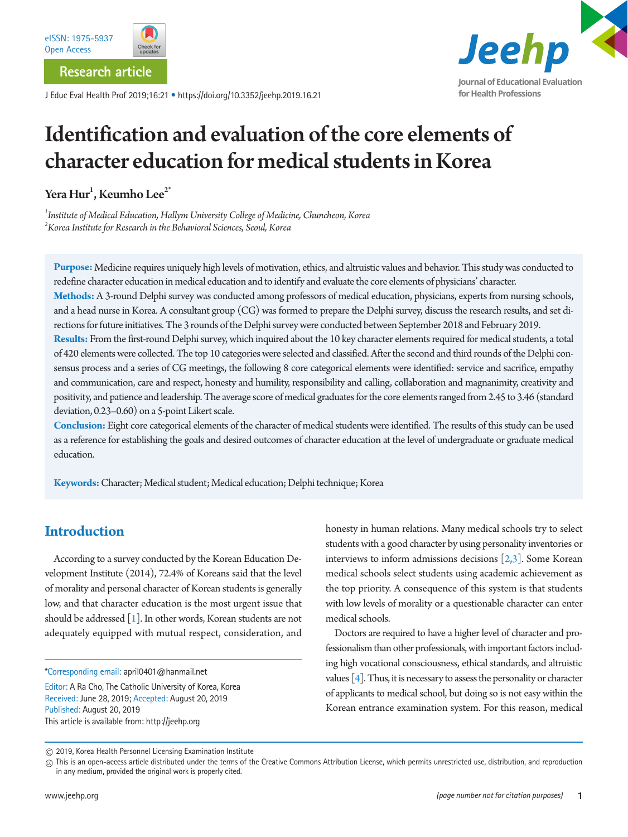

**Research article**

J Educ Eval Health Prof 2019;16:21 • https://doi.org/10.3352/jeehp.2019.16.21



# Identification and evaluation of the core elements of character education for medical students in Korea

Yera  $\operatorname{Hur}^1$ , Keumho Lee $^{2^*}$ 

*1 Institute of Medical Education, Hallym University College of Medicine, Chuncheon, Korea 2 Korea Institute for Research in the Behavioral Sciences, Seoul, Korea*

**Purpose:** Medicine requires uniquely high levels of motivation, ethics, and altruistic values and behavior. This study was conducted to redefine character education in medical education and to identify and evaluate the core elements of physicians' character.

**Methods:** A 3-round Delphi survey was conducted among professors of medical education, physicians, experts from nursing schools, and a head nurse in Korea. A consultant group (CG) was formed to prepare the Delphi survey, discuss the research results, and set directions for future initiatives. The 3 rounds of the Delphi survey were conducted between September 2018 and February 2019.

**Results:** From the first-round Delphi survey, which inquired about the 10 key character elements required for medical students, a total of 420 elements were collected. The top 10 categories were selected and classified. After the second and third rounds of the Delphi consensus process and a series of CG meetings, the following 8 core categorical elements were identified: service and sacrifice, empathy and communication, care and respect, honesty and humility, responsibility and calling, collaboration and magnanimity, creativity and positivity, and patience and leadership. The average score of medical graduates for the core elements ranged from 2.45 to 3.46 (standard deviation, 0.23–0.60) on a 5-point Likert scale.

**Conclusion:** Eight core categorical elements of the character of medical students were identified. The results of this study can be used as a reference for establishing the goals and desired outcomes of character education at the level of undergraduate or graduate medical education.

**Keywords:** Character; Medical student; Medical education; Delphi technique; Korea

# **Introduction**

According to a survey conducted by the Korean Education Development Institute (2014), 72.4% of Koreans said that the level of morality and personal character of Korean students is generally low, and that character education is the most urgent issue that should be addressed [\[1](#page-7-0)]. In other words, Korean students are not adequately equipped with mutual respect, consideration, and

\*Corresponding email: april0401@hanmail.net

Editor: A Ra Cho, The Catholic University of Korea, Korea Received: June 28, 2019; Accepted: August 20, 2019 Published: August 20, 2019 This article is available from: http://jeehp.org

honesty in human relations. Many medical schools try to select students with a good character by using personality inventories or interviews to inform admissions decisions  $[2,3]$  $[2,3]$ . Some Korean medical schools select students using academic achievement as the top priority. A consequence of this system is that students with low levels of morality or a questionable character can enter medical schools.

Doctors are required to have a higher level of character and professionalism than other professionals, with important factors including high vocational consciousness, ethical standards, and altruistic values  $[4]$ . Thus, it is necessary to assess the personality or character of applicants to medical school, but doing so is not easy within the Korean entrance examination system. For this reason, medical

<sup>2019,</sup> Korea Health Personnel Licensing Examination Institute

 $@$  This is an open-access article distributed under the terms of the Creative Commons Attribution License, which permits unrestricted use, distribution, and reproduction in any medium, provided the original work is properly cited.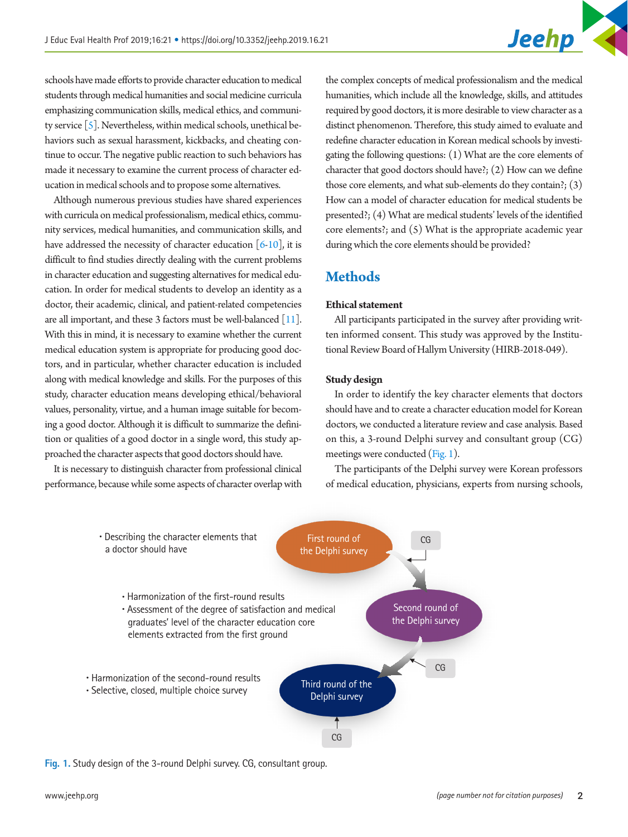schools have made efforts to provide character education to medical students through medical humanities and social medicine curricula emphasizing communication skills, medical ethics, and community service [\[5](#page-7-4)]. Nevertheless, within medical schools, unethical behaviors such as sexual harassment, kickbacks, and cheating continue to occur. The negative public reaction to such behaviors has made it necessary to examine the current process of character education in medical schools and to propose some alternatives.

Although numerous previous studies have shared experiences with curricula on medical professionalism, medical ethics, community services, medical humanities, and communication skills, and have addressed the necessity of character education  $[6-10]$  $[6-10]$ , it is difficult to find studies directly dealing with the current problems in character education and suggesting alternatives for medical education. In order for medical students to develop an identity as a doctor, their academic, clinical, and patient-related competencies are all important, and these 3 factors must be well-balanced [\[11](#page-7-7)]. With this in mind, it is necessary to examine whether the current medical education system is appropriate for producing good doctors, and in particular, whether character education is included along with medical knowledge and skills. For the purposes of this study, character education means developing ethical/behavioral values, personality, virtue, and a human image suitable for becoming a good doctor. Although it is difficult to summarize the definition or qualities of a good doctor in a single word, this study approached the character aspects that good doctors should have.

It is necessary to distinguish character from professional clinical performance, because while some aspects of character overlap with

the complex concepts of medical professionalism and the medical humanities, which include all the knowledge, skills, and attitudes required by good doctors, it is more desirable to view character as a distinct phenomenon. Therefore, this study aimed to evaluate and redefine character education in Korean medical schools by investigating the following questions: (1) What are the core elements of character that good doctors should have?; (2) How can we define those core elements, and what sub-elements do they contain?; (3) How can a model of character education for medical students be presented?; (4) What are medical students' levels of the identified core elements?; and (5) What is the appropriate academic year during which the core elements should be provided?

# **Methods**

# **Ethical statement**

All participants participated in the survey after providing written informed consent. This study was approved by the Institutional Review Board of Hallym University (HIRB-2018-049).

#### **Study design**

In order to identify the key character elements that doctors should have and to create a character education model for Korean doctors, we conducted a literature review and case analysis. Based on this, a 3-round Delphi survey and consultant group (CG) meetings were conducted [\(Fig. 1](#page-1-0)).

The participants of the Delphi survey were Korean professors of medical education, physicians, experts from nursing schools,

<span id="page-1-0"></span>

**Fig. 1.** Study design of the 3-round Delphi survey. CG, consultant group.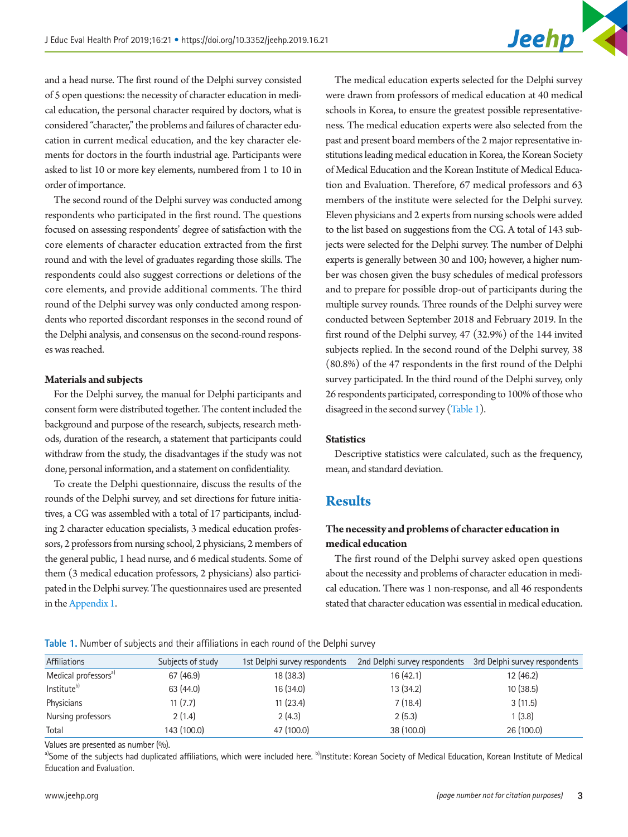and a head nurse. The first round of the Delphi survey consisted of 5 open questions: the necessity of character education in medical education, the personal character required by doctors, what is considered "character," the problems and failures of character education in current medical education, and the key character elements for doctors in the fourth industrial age. Participants were asked to list 10 or more key elements, numbered from 1 to 10 in order of importance.

The second round of the Delphi survey was conducted among respondents who participated in the first round. The questions focused on assessing respondents' degree of satisfaction with the core elements of character education extracted from the first round and with the level of graduates regarding those skills. The respondents could also suggest corrections or deletions of the core elements, and provide additional comments. The third round of the Delphi survey was only conducted among respondents who reported discordant responses in the second round of the Delphi analysis, and consensus on the second-round responses was reached.

#### **Materials and subjects**

For the Delphi survey, the manual for Delphi participants and consent form were distributed together. The content included the background and purpose of the research, subjects, research methods, duration of the research, a statement that participants could withdraw from the study, the disadvantages if the study was not done, personal information, and a statement on confidentiality.

To create the Delphi questionnaire, discuss the results of the rounds of the Delphi survey, and set directions for future initiatives, a CG was assembled with a total of 17 participants, including 2 character education specialists, 3 medical education professors, 2 professors from nursing school, 2 physicians, 2 members of the general public, 1 head nurse, and 6 medical students. Some of them (3 medical education professors, 2 physicians) also participated in the Delphi survey. The questionnaires used are presented in the [Appendix 1](#page-8-0).

The medical education experts selected for the Delphi survey were drawn from professors of medical education at 40 medical schools in Korea, to ensure the greatest possible representativeness. The medical education experts were also selected from the past and present board members of the 2 major representative institutions leading medical education in Korea, the Korean Society of Medical Education and the Korean Institute of Medical Education and Evaluation. Therefore, 67 medical professors and 63 members of the institute were selected for the Delphi survey. Eleven physicians and 2 experts from nursing schools were added to the list based on suggestions from the CG. A total of 143 subjects were selected for the Delphi survey. The number of Delphi experts is generally between 30 and 100; however, a higher number was chosen given the busy schedules of medical professors and to prepare for possible drop-out of participants during the multiple survey rounds. Three rounds of the Delphi survey were conducted between September 2018 and February 2019. In the first round of the Delphi survey, 47 (32.9%) of the 144 invited subjects replied. In the second round of the Delphi survey, 38 (80.8%) of the 47 respondents in the first round of the Delphi survey participated. In the third round of the Delphi survey, only 26 respondents participated, corresponding to 100% of those who disagreed in the second survey [\(Table 1\)](#page-2-0).

## **Statistics**

Descriptive statistics were calculated, such as the frequency, mean, and standard deviation.

# **Results**

# **The necessity and problems of character education in medical education**

The first round of the Delphi survey asked open questions about the necessity and problems of character education in medical education. There was 1 non-response, and all 46 respondents stated that character education was essential in medical education.

<span id="page-2-0"></span>**Table 1.** Number of subjects and their affiliations in each round of the Delphi survey

| Affiliations                     | Subjects of study | 1st Delphi survey respondents | 2nd Delphi survey respondents | 3rd Delphi survey respondents |
|----------------------------------|-------------------|-------------------------------|-------------------------------|-------------------------------|
| Medical professors <sup>a)</sup> | 67 (46.9)         | 18 (38.3)                     | 16 (42.1)                     | 12(46.2)                      |
| Institute <sup>b)</sup>          | 63 (44.0)         | 16 (34.0)                     | 13 (34.2)                     | 10(38.5)                      |
| Physicians                       | 11(7.7)           | 11(23.4)                      | 7(18.4)                       | 3(11.5)                       |
| Nursing professors               | 2(1.4)            | 2(4.3)                        | 2(5.3)                        | 1(3.8)                        |
| Total                            | 143 (100.0)       | 47 (100.0)                    | 38 (100.0)                    | 26 (100.0)                    |

Values are presented as number (%).

a)Some of the subjects had duplicated affiliations, which were included here. <sup>b</sup>lnstitute: Korean Society of Medical Education, Korean Institute of Medical Education and Evaluation.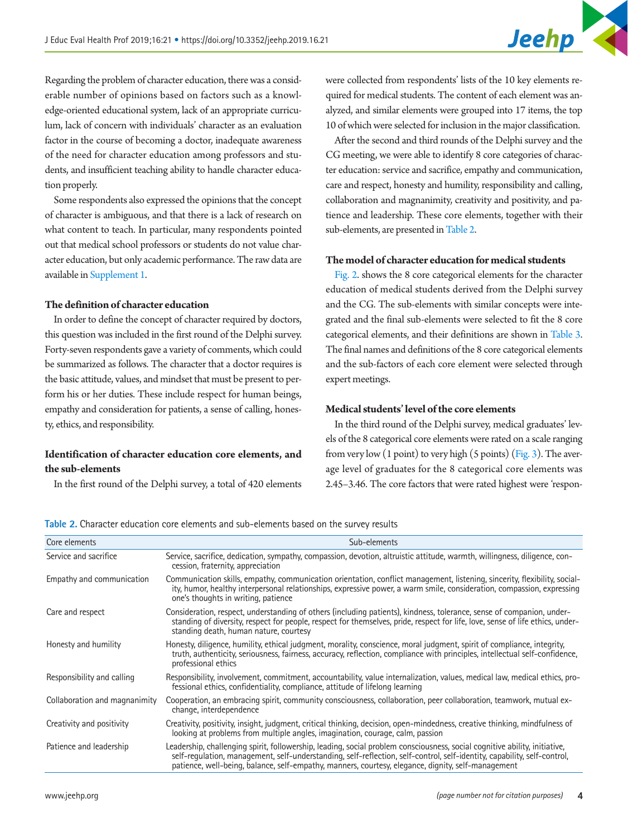Regarding the problem of character education, there was a considerable number of opinions based on factors such as a knowledge-oriented educational system, lack of an appropriate curriculum, lack of concern with individuals' character as an evaluation factor in the course of becoming a doctor, inadequate awareness of the need for character education among professors and students, and insufficient teaching ability to handle character education properly.

Some respondents also expressed the opinions that the concept of character is ambiguous, and that there is a lack of research on what content to teach. In particular, many respondents pointed out that medical school professors or students do not value character education, but only academic performance. The raw data are available in [Supplement 1.](#page-6-0)

## **The definition of character education**

In order to define the concept of character required by doctors, this question was included in the first round of the Delphi survey. Forty-seven respondents gave a variety of comments, which could be summarized as follows. The character that a doctor requires is the basic attitude, values, and mindset that must be present to perform his or her duties. These include respect for human beings, empathy and consideration for patients, a sense of calling, honesty, ethics, and responsibility.

# **Identification of character education core elements, and the sub-elements**

In the first round of the Delphi survey, a total of 420 elements

were collected from respondents' lists of the 10 key elements required for medical students. The content of each element was analyzed, and similar elements were grouped into 17 items, the top 10 of which were selected for inclusion in the major classification.

After the second and third rounds of the Delphi survey and the CG meeting, we were able to identify 8 core categories of character education: service and sacrifice, empathy and communication, care and respect, honesty and humility, responsibility and calling, collaboration and magnanimity, creativity and positivity, and patience and leadership. These core elements, together with their sub-elements, are presented in Table 2.

#### **The model of character education for medical students**

[Fig. 2.](#page-4-0) shows the 8 core categorical elements for the character education of medical students derived from the Delphi survey and the CG. The sub-elements with similar concepts were integrated and the final sub-elements were selected to fit the 8 core categorical elements, and their definitions are shown in [Table 3.](#page-4-1) The final names and definitions of the 8 core categorical elements and the sub-factors of each core element were selected through expert meetings.

# **Medical students' level of the core elements**

In the third round of the Delphi survey, medical graduates' levels of the 8 categorical core elements were rated on a scale ranging from very low  $(1 \text{ point})$  to very high  $(5 \text{ points})$  [\(Fig. 3](#page-5-0)). The average level of graduates for the 8 categorical core elements was 2.45–3.46. The core factors that were rated highest were 'respon-

<span id="page-3-0"></span>

| Core elements                 | Sub-elements                                                                                                                                                                                                                                                                                                                                                 |
|-------------------------------|--------------------------------------------------------------------------------------------------------------------------------------------------------------------------------------------------------------------------------------------------------------------------------------------------------------------------------------------------------------|
| Service and sacrifice         | Service, sacrifice, dedication, sympathy, compassion, devotion, altruistic attitude, warmth, willingness, diligence, con-<br>cession, fraternity, appreciation                                                                                                                                                                                               |
| Empathy and communication     | Communication skills, empathy, communication orientation, conflict management, listening, sincerity, flexibility, social-<br>ity, humor, healthy interpersonal relationships, expressive power, a warm smile, consideration, compassion, expressing<br>one's thoughts in writing, patience                                                                   |
| Care and respect              | Consideration, respect, understanding of others (including patients), kindness, tolerance, sense of companion, under-<br>standing of diversity, respect for people, respect for themselves, pride, respect for life, love, sense of life ethics, under-<br>standing death, human nature, courtesy                                                            |
| Honesty and humility          | Honesty, diligence, humility, ethical judgment, morality, conscience, moral judgment, spirit of compliance, integrity,<br>truth, authenticity, seriousness, fairness, accuracy, reflection, compliance with principles, intellectual self-confidence,<br>professional ethics                                                                                 |
| Responsibility and calling    | Responsibility, involvement, commitment, accountability, value internalization, values, medical law, medical ethics, pro-<br>fessional ethics, confidentiality, compliance, attitude of lifelong learning                                                                                                                                                    |
| Collaboration and magnanimity | Cooperation, an embracing spirit, community consciousness, collaboration, peer collaboration, teamwork, mutual ex-<br>change, interdependence                                                                                                                                                                                                                |
| Creativity and positivity     | Creativity, positivity, insight, judgment, critical thinking, decision, open-mindedness, creative thinking, mindfulness of<br>looking at problems from multiple angles, imagination, courage, calm, passion                                                                                                                                                  |
| Patience and leadership       | Leadership, challenging spirit, followership, leading, social problem consciousness, social cognitive ability, initiative,<br>self-regulation, management, self-understanding, self-reflection, self-control, self-identity, capability, self-control,<br>patience, well-being, balance, self-empathy, manners, courtesy, elegance, dignity, self-management |
|                               |                                                                                                                                                                                                                                                                                                                                                              |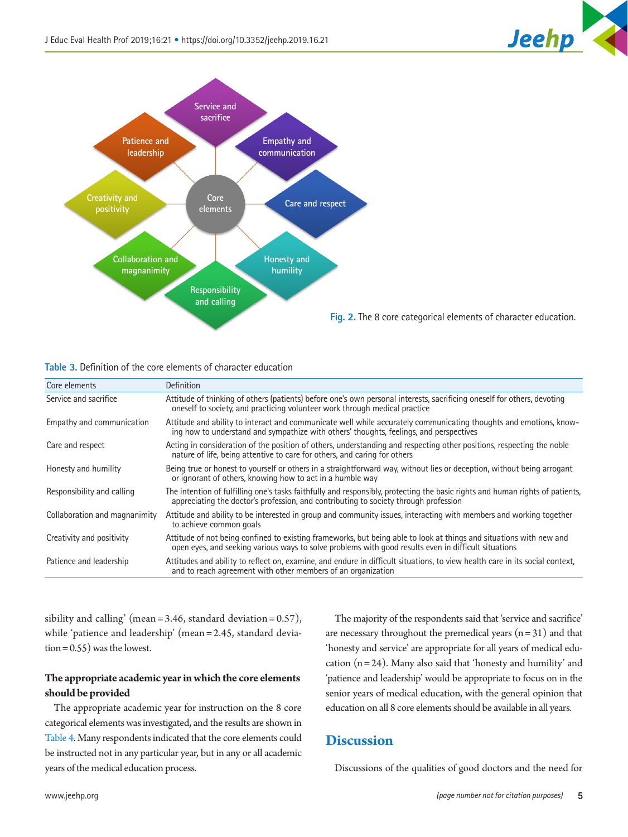

<span id="page-4-0"></span>

<span id="page-4-1"></span>

|  |  | <b>Table 3.</b> Definition of the core elements of character education |  |
|--|--|------------------------------------------------------------------------|--|
|  |  |                                                                        |  |

| Core elements                 | <b>Definition</b>                                                                                                                                                                                                           |
|-------------------------------|-----------------------------------------------------------------------------------------------------------------------------------------------------------------------------------------------------------------------------|
| Service and sacrifice         | Attitude of thinking of others (patients) before one's own personal interests, sacrificing oneself for others, devoting<br>oneself to society, and practicing volunteer work through medical practice                       |
| Empathy and communication     | Attitude and ability to interact and communicate well while accurately communicating thoughts and emotions, know-<br>ing how to understand and sympathize with others' thoughts, feelings, and perspectives                 |
| Care and respect              | Acting in consideration of the position of others, understanding and respecting other positions, respecting the noble<br>nature of life, being attentive to care for others, and caring for others                          |
| Honesty and humility          | Being true or honest to yourself or others in a straightforward way, without lies or deception, without being arrogant<br>or ignorant of others, knowing how to act in a humble way                                         |
| Responsibility and calling    | The intention of fulfilling one's tasks faithfully and responsibly, protecting the basic rights and human rights of patients,<br>appreciating the doctor's profession, and contributing to society through profession       |
| Collaboration and magnanimity | Attitude and ability to be interested in group and community issues, interacting with members and working together<br>to achieve common goals                                                                               |
| Creativity and positivity     | Attitude of not being confined to existing frameworks, but being able to look at things and situations with new and<br>open eyes, and seeking various ways to solve problems with good results even in difficult situations |
| Patience and leadership       | Attitudes and ability to reflect on, examine, and endure in difficult situations, to view health care in its social context,<br>and to reach agreement with other members of an organization                                |

sibility and calling' (mean =  $3.46$ , standard deviation =  $0.57$ ), while 'patience and leadership' (mean = 2.45, standard deviation = 0.55) was the lowest.

# **The appropriate academic year in which the core elements should be provided**

The appropriate academic year for instruction on the 8 core categorical elements was investigated, and the results are shown in [Table 4.](#page-5-1) Many respondents indicated that the core elements could be instructed not in any particular year, but in any or all academic years of the medical education process.

The majority of the respondents said that 'service and sacrifice' are necessary throughout the premedical years  $(n = 31)$  and that 'honesty and service' are appropriate for all years of medical education  $(n = 24)$ . Many also said that 'honesty and humility' and 'patience and leadership' would be appropriate to focus on in the senior years of medical education, with the general opinion that education on all 8 core elements should be available in all years.

# **Discussion**

Discussions of the qualities of good doctors and the need for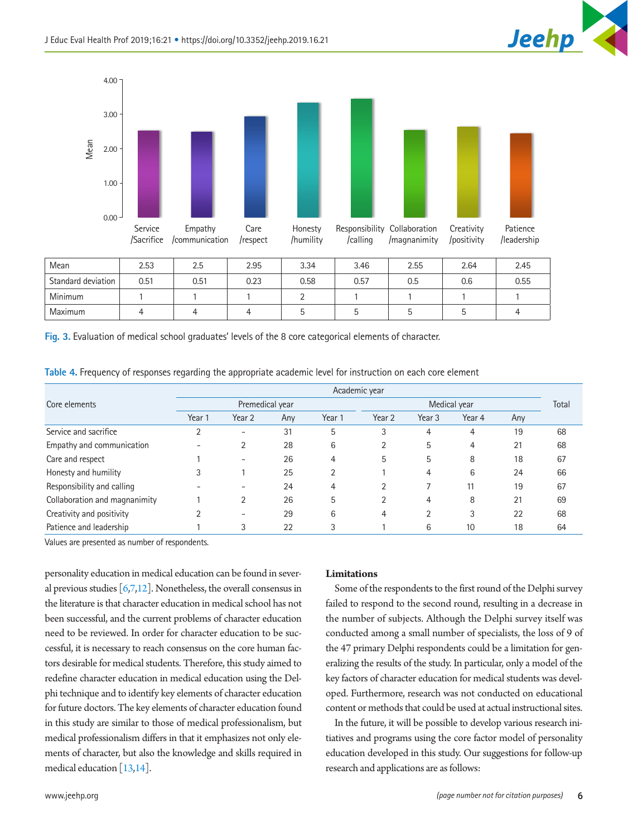

<span id="page-5-0"></span>

| Mean               | 2.53 | 2.5  | 2.95 | 3.34 | 3.46 | 2.55 | 2.64 | 2.45 |
|--------------------|------|------|------|------|------|------|------|------|
| Standard deviation | 0.51 | 0.51 | 0.23 | 0.58 | 0.57 | 0.5  | 0.6  | 0.55 |
| Minimum            |      |      |      |      |      |      |      |      |
| <b>Maximum</b>     |      |      |      |      |      |      |      | 4    |

**Fig. 3.** Evaluation of medical school graduates' levels of the 8 core categorical elements of character.

|                               |                 |        |     |              | Academic year |                   |        |       |    |
|-------------------------------|-----------------|--------|-----|--------------|---------------|-------------------|--------|-------|----|
| Core elements                 | Premedical year |        |     | Medical year |               |                   |        | Total |    |
|                               | Year 1          | Year 2 | Any | Year 1       | Year 2        | Year <sub>3</sub> | Year 4 | Any   |    |
| Service and sacrifice         |                 | -      | 31  | 5            | 3             | 4                 | 4      | 19    | 68 |
| Empathy and communication     |                 | 2      | 28  | 6            |               | 5                 | 4      | 21    | 68 |
| Care and respect              |                 | -      | 26  | 4            | 5             | 5                 | 8      | 18    | 67 |
| Honesty and humility          |                 |        | 25  |              |               | 4                 | 6      | 24    | 66 |
| Responsibility and calling    |                 |        | 24  | 4            | ◠             |                   | 11     | 19    | 67 |
| Collaboration and magnanimity |                 | 2      | 26  | 5            |               | 4                 | 8      | 21    | 69 |
| Creativity and positivity     |                 | ۰      | 29  | 6            | 4             | າ                 | 3      | 22    | 68 |
| Patience and leadership       |                 | 3      | 22  | 3            |               | 6                 | 10     | 18    | 64 |

<span id="page-5-1"></span>

|  |  |  | Table 4. Frequency of responses regarding the appropriate academic level for instruction on each core element |
|--|--|--|---------------------------------------------------------------------------------------------------------------|
|  |  |  |                                                                                                               |

Values are presented as number of respondents.

personality education in medical education can be found in several previous studies  $[6,7,12]$  $[6,7,12]$  $[6,7,12]$ . Nonetheless, the overall consensus in the literature is that character education in medical school has not been successful, and the current problems of character education need to be reviewed. In order for character education to be successful, it is necessary to reach consensus on the core human factors desirable for medical students. Therefore, this study aimed to redefine character education in medical education using the Delphi technique and to identify key elements of character education for future doctors. The key elements of character education found in this study are similar to those of medical professionalism, but medical professionalism differs in that it emphasizes not only elements of character, but also the knowledge and skills required in medical education [\[13](#page-7-10)[,14\]](#page-7-11).

#### **Limitations**

Some of the respondents to the first round of the Delphi survey failed to respond to the second round, resulting in a decrease in the number of subjects. Although the Delphi survey itself was conducted among a small number of specialists, the loss of 9 of the 47 primary Delphi respondents could be a limitation for generalizing the results of the study. In particular, only a model of the key factors of character education for medical students was developed. Furthermore, research was not conducted on educational content or methods that could be used at actual instructional sites.

In the future, it will be possible to develop various research initiatives and programs using the core factor model of personality education developed in this study. Our suggestions for follow-up research and applications are as follows: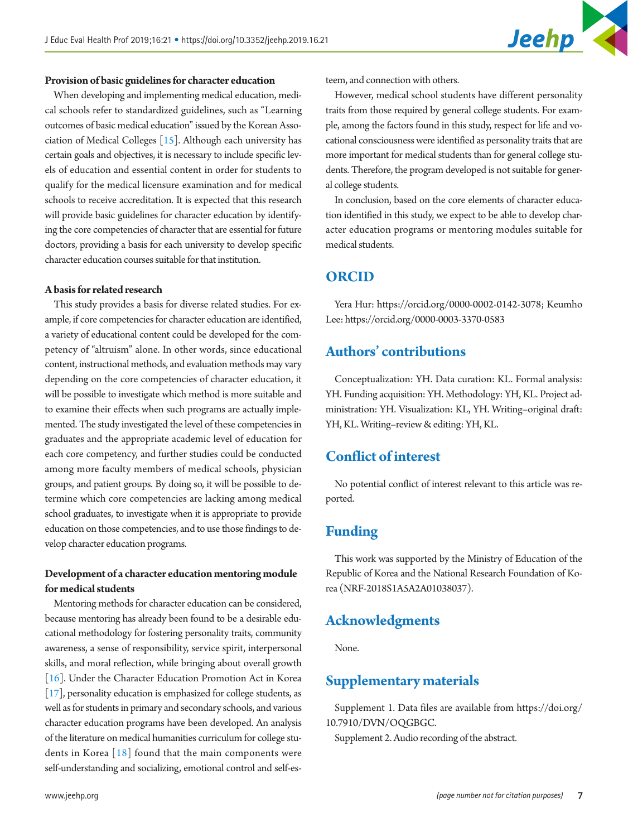#### **Provision of basic guidelines for character education**

When developing and implementing medical education, medical schools refer to standardized guidelines, such as "Learning outcomes of basic medical education" issued by the Korean Association of Medical Colleges [\[15\]](#page-7-12). Although each university has certain goals and objectives, it is necessary to include specific levels of education and essential content in order for students to qualify for the medical licensure examination and for medical schools to receive accreditation. It is expected that this research will provide basic guidelines for character education by identifying the core competencies of character that are essential for future doctors, providing a basis for each university to develop specific character education courses suitable for that institution.

## **A basis for related research**

This study provides a basis for diverse related studies. For example, if core competencies for character education are identified, a variety of educational content could be developed for the competency of "altruism" alone. In other words, since educational content, instructional methods, and evaluation methods may vary depending on the core competencies of character education, it will be possible to investigate which method is more suitable and to examine their effects when such programs are actually implemented. The study investigated the level of these competencies in graduates and the appropriate academic level of education for each core competency, and further studies could be conducted among more faculty members of medical schools, physician groups, and patient groups. By doing so, it will be possible to determine which core competencies are lacking among medical school graduates, to investigate when it is appropriate to provide education on those competencies, and to use those findings to develop character education programs.

# **Development of a character education mentoring module for medical students**

Mentoring methods for character education can be considered, because mentoring has already been found to be a desirable educational methodology for fostering personality traits, community awareness, a sense of responsibility, service spirit, interpersonal skills, and moral reflection, while bringing about overall growth [\[16](#page-7-13)]. Under the Character Education Promotion Act in Korea [\[17\]](#page-7-14), personality education is emphasized for college students, as well as for students in primary and secondary schools, and various character education programs have been developed. An analysis of the literature on medical humanities curriculum for college students in Korea  $[18]$  found that the main components were self-understanding and socializing, emotional control and self-esteem, and connection with others.

However, medical school students have different personality traits from those required by general college students. For example, among the factors found in this study, respect for life and vocational consciousness were identified as personality traits that are more important for medical students than for general college students. Therefore, the program developed is not suitable for general college students.

In conclusion, based on the core elements of character education identified in this study, we expect to be able to develop character education programs or mentoring modules suitable for medical students.

# **ORCID**

Yera Hur: <https://orcid.org/0000-0002-0142-3078>; Keumho Lee: [https://orcid.org/0000-0003-3370-0583](https://orcid.org/0000-0003-3370-0583 
) 

# **Authors' contributions**

Conceptualization: YH. Data curation: KL. Formal analysis: YH. Funding acquisition: YH. Methodology: YH, KL. Project administration: YH. Visualization: KL, YH. Writing–original draft: YH, KL. Writing–review & editing: YH, KL.

# **Conflict of interest**

No potential conflict of interest relevant to this article was reported.

# **Funding**

This work was supported by the Ministry of Education of the Republic of Korea and the National Research Foundation of Korea (NRF-2018S1A5A2A01038037).

# **Acknowledgments**

None.

# <span id="page-6-0"></span>**Supplementary materials**

Supplement 1. Data files are available from [https://doi.org/](https://doi.org/10.7910/DVN/OQGBGC) [10.7910/DVN/OQGBGC](https://doi.org/10.7910/DVN/OQGBGC).

Supplement 2. Audio recording of the abstract.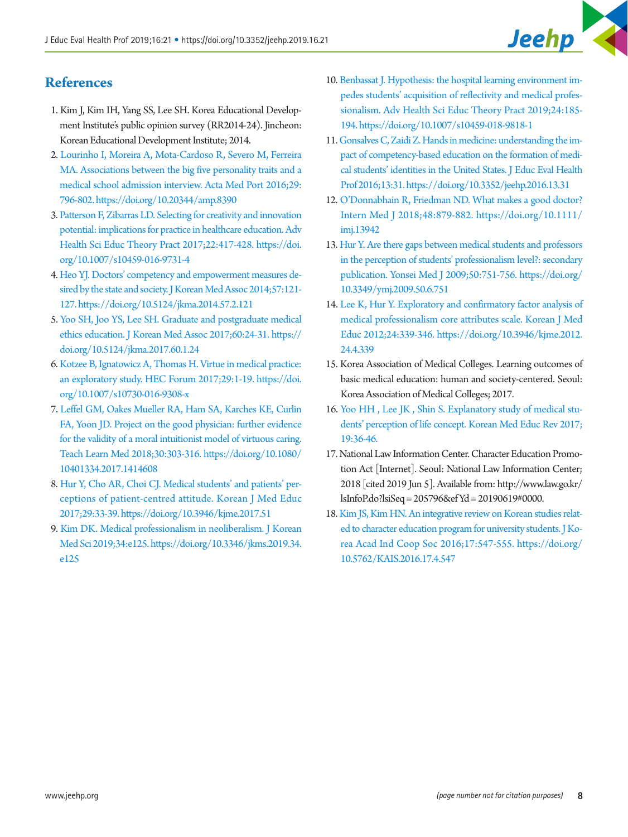# **References**

- <span id="page-7-0"></span>1. Kim J, Kim IH, Yang SS, Lee SH. Korea Educational Development Institute's public opinion survey (RR2014-24). Jincheon: Korean Educational Development Institute; 2014.
- <span id="page-7-1"></span>2. Lourinho I, Mo[reira A, Mota-Cardoso R, Severo M, Ferreira](https://doi.org/10.20344/amp.8390)  [MA. Associations between the big five personality traits and a](https://doi.org/10.20344/amp.8390)  [medical school admission interview. Acta Med Port 2016;29:](https://doi.org/10.20344/amp.8390) [796-802. https://doi.org/10.20344/amp.8390](https://doi.org/10.20344/amp.8390)
- <span id="page-7-2"></span>[3. Patterson F, Zibarras LD. Selecting for creativity and innovation](https://doi.org/10.1007/s10459-016-9731-4) [potential: implications for practice in healthcare education. Adv](https://doi.org/10.1007/s10459-016-9731-4)  [Health Sci Educ Theory Pract 2017;22:417-428. https://doi.](https://doi.org/10.1007/s10459-016-9731-4) [org/10.1007/s10459-016-9731-4](https://doi.org/10.1007/s10459-016-9731-4)
- <span id="page-7-3"></span>[4. Heo YJ. Doctors' competency and empowerment measures de](https://doi.org/10.5124/jkma.2014.57.2.121)[sired by the state and society. J Korean Med Assoc 2014;57:121-](https://doi.org/10.5124/jkma.2014.57.2.121) [127. https://doi.org/10.5124/jkma.2014.57.2.121](https://doi.org/10.5124/jkma.2014.57.2.121)
- <span id="page-7-4"></span>[5. Yoo SH, Joo YS, Lee SH. Graduate and postgraduate medical](https://doi.org/10.5124/jkma.2017.60.1.24)  [ethics education. J Korean Med Assoc 2017;60:24-31. https://](https://doi.org/10.5124/jkma.2017.60.1.24) [doi.org/10.5124/jkma.2017.60.1.24](https://doi.org/10.5124/jkma.2017.60.1.24)
- <span id="page-7-5"></span>[6. Kotzee B, Ignatowicz A, Thomas H. Virtue in medical practice:](https://doi.org/10.1007/s10730-016-9308-x)  [an exploratory study. HEC Forum 2017;29:1-19. https://doi.](https://doi.org/10.1007/s10730-016-9308-x) [org/10.1007/s10730-016-9308-x](https://doi.org/10.1007/s10730-016-9308-x)
- <span id="page-7-8"></span>[7. Leffel GM, Oakes Mueller RA, Ham SA, Karches KE, Curlin](https://doi.org/10.1080/10401334.2017.1414608) [FA, Yoon JD. Project on the good physician: further evidence](https://doi.org/10.1080/10401334.2017.1414608) [for the validity of a moral intuitionist model of virtuous caring.](https://doi.org/10.1080/10401334.2017.1414608)  [Teach Learn Med 2018;30:303-316. https://doi.org/10.1080/](https://doi.org/10.1080/10401334.2017.1414608) [10401334.2017.1414608](https://doi.org/10.1080/10401334.2017.1414608)
- 8. [Hur Y, Cho AR, Choi CJ. Medical students' and patients' per](https://doi.org/10.3946/kjme.2017.51)[ceptions of patient-centred attitude. Korean J Med Educ](https://doi.org/10.3946/kjme.2017.51)  [2017;29:33-39. https://doi.org/10.3946/kjme.2017.51](https://doi.org/10.3946/kjme.2017.51)
- 9. [Kim DK. Medical professionalism in neoliberalism. J Korean](https://doi.org/10.3346/jkms.2019.34.e125)  [Med Sci 2019;34:e125. https://doi.org/10.3346/jkms.2019.34.](https://doi.org/10.3346/jkms.2019.34.e125) [e125](https://doi.org/10.3346/jkms.2019.34.e125)
- <span id="page-7-6"></span>1[0. Benbassat J. Hypothesis: the hospital learning environment im](https://doi.org/10.1007/s10459-018-9818-1)[pedes students' acquisition of reflectivity and medical profes](https://doi.org/10.1007/s10459-018-9818-1)[sionalism. Adv Health Sci Educ Theory Pract 2019;24:185-](https://doi.org/10.1007/s10459-018-9818-1) [194. https://doi.org/10.1007/s10459-018-9818-1](https://doi.org/10.1007/s10459-018-9818-1)
- <span id="page-7-7"></span>1[1. Gonsalves C, Zaidi Z. Hands in medicine: understanding the im](https://doi.org/10.3352/jeehp.2016.13.31)[pact of competency-based education on the formation of medi](https://doi.org/10.3352/jeehp.2016.13.31)[cal students' identities in the United States. J Educ Eval Health](https://doi.org/10.3352/jeehp.2016.13.31)  [Prof 2016;13:31. https://doi.org/10.3352/jeehp.2016.13.31](https://doi.org/10.3352/jeehp.2016.13.31)
- <span id="page-7-9"></span>1[2. O'Donnabhain R, Friedman ND. What makes a good doctor?](https://doi.org/10.1111/imj.13942)  [Intern Med J 2018;48:879-882. https://doi.org/10.1111/](https://doi.org/10.1111/imj.13942) [imj.13942](https://doi.org/10.1111/imj.13942)
- <span id="page-7-10"></span>1[3. Hur Y. Are there gaps between medical students and professors](https://doi.org/10.3349/ymj.2009.50.6.751)  [in the perception of students' professionalism level?: secondary](https://doi.org/10.3349/ymj.2009.50.6.751)  [publication. Yonsei Med J 2009;50:751-756. https://doi.org/](https://doi.org/10.3349/ymj.2009.50.6.751) [10.3349/ymj.2009.50.6.751](https://doi.org/10.3349/ymj.2009.50.6.751)
- <span id="page-7-11"></span>14[. Lee K, Hur Y. Exploratory and confirmatory factor analysis of](https://doi.org/10.3946/kjme.2012.24.4.339)  [medical professionalism core attributes scale. Korean J Med](https://doi.org/10.3946/kjme.2012.24.4.339)  [Educ 2012;24:339-346. https://doi.org/10.3946/kjme.2012.](https://doi.org/10.3946/kjme.2012.24.4.339) [24.4.339](https://doi.org/10.3946/kjme.2012.24.4.339)
- <span id="page-7-12"></span>15. Korea Association of Medical Colleges. Learning outcomes of basic medical education: human and society-centered. Seoul: Korea Association of Medical Colleges; 2017.
- <span id="page-7-13"></span>16[. Yoo HH , Lee JK , Shin S. Explanatory study of medical stu](https://doi.org/10.17496/kmer.2017.19.1.36)[dents' perception of life concept. Korean Med Educ Rev 2017;](https://doi.org/10.17496/kmer.2017.19.1.36) [19:36-46](https://doi.org/10.17496/kmer.2017.19.1.36).
- <span id="page-7-14"></span>17. National Law Information Center. Character Education Promotion Act [Internet]. Seoul: National Law Information Center; 2018 [cited 2019 Jun 5]. Available from: [http://www.law.go.kr/](http://www.law.go.kr/lsInfoP.do?lsiSeq=205796&efYd=20190619#0000) [lsInfoP.do?lsiSeq = 205796&ef Yd = 20190619#0000](http://www.law.go.kr/lsInfoP.do?lsiSeq=205796&efYd=20190619#0000).
- <span id="page-7-15"></span>1[8. Kim JS, Kim HN. An integrative review on Korean studies relat](https://doi.org/10.5762/KAIS.2016.17.4.547)[ed to character education program for university students. J Ko](https://doi.org/10.5762/KAIS.2016.17.4.547)[rea Acad Ind Coop Soc 2016;17:547-555. https://doi.org/](https://doi.org/10.5762/KAIS.2016.17.4.547) [10.5762/KAIS.2016.17.4.547](https://doi.org/10.5762/KAIS.2016.17.4.547)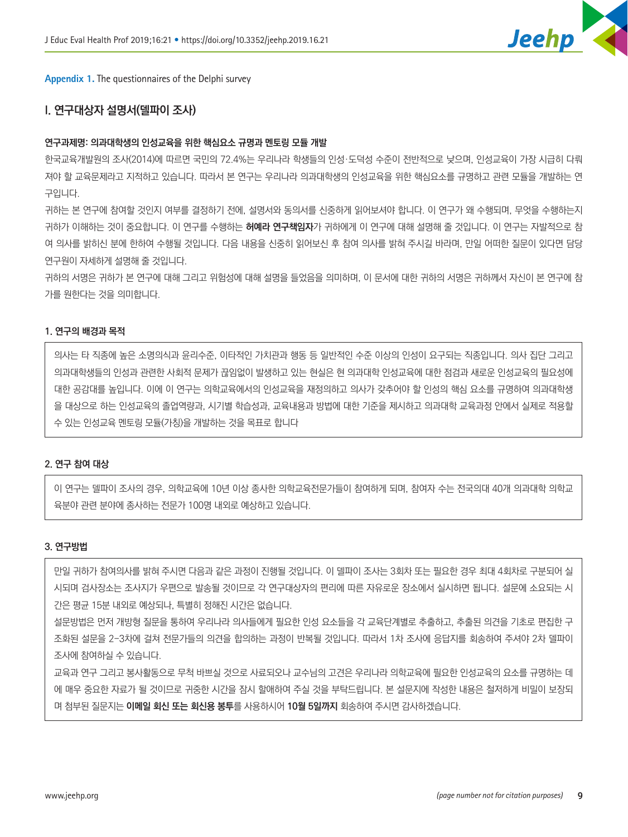

<span id="page-8-0"></span>**Appendix 1.** The questionnaires of the Delphi survey

# **I. 연구대상자 설명서(델파이 조사)**

## **연구과제명: 의과대학생의 인성교육을 위한 핵심요소 규명과 멘토링 모듈 개발**

한국교육개발원의 조사(2014)에 따르면 국민의 72.4%는 우리나라 학생들의 인성·도덕성 수준이 전반적으로 낮으며, 인성교육이 가장 시급히 다뤄 져야 할 교육문제라고 지적하고 있습니다. 따라서 본 연구는 우리나라 의과대학생의 인성교육을 위한 핵심요소를 규명하고 관련 모듈을 개발하는 연 구입니다.

귀하는 본 연구에 참여할 것인지 여부를 결정하기 전에, 설명서와 동의서를 신중하게 읽어보셔야 합니다. 이 연구가 왜 수행되며, 무엇을 수행하는지 귀하가 이해하는 것이 중요합니다. 이 연구를 수행하는 **허예라 연구책임자**가 귀하에게 이 연구에 대해 설명해 줄 것입니다. 이 연구는 자발적으로 참 여 의사를 밝히신 분에 한하여 수행될 것입니다. 다음 내용을 신중히 읽어보신 후 참여 의사를 밝혀 주시길 바라며, 만일 어떠한 질문이 있다면 담당 연구원이 자세하게 설명해 줄 것입니다.

귀하의 서명은 귀하가 본 연구에 대해 그리고 위험성에 대해 설명을 들었음을 의미하며, 이 문서에 대한 귀하의 서명은 귀하께서 자신이 본 연구에 참 가를 원한다는 것을 의미합니다.

#### **1. 연구의 배경과 목적**

의사는 타 직종에 높은 소명의식과 윤리수준, 이타적인 가치관과 행동 등 일반적인 수준 이상의 인성이 요구되는 직종입니다. 의사 집단 그리고 의과대학생들의 인성과 관련한 사회적 문제가 끊임없이 발생하고 있는 현실은 현 의과대학 인성교육에 대한 점검과 새로운 인성교육의 필요성에 대한 공감대를 높입니다. 이에 이 연구는 의학교육에서의 인성교육을 재정의하고 의사가 갖추어야 할 인성의 핵심 요소를 규명하여 의과대학생 을 대상으로 하는 인성교육의 졸업역량과, 시기별 학습성과, 교육내용과 방법에 대한 기준을 제시하고 의과대학 교육과정 안에서 실제로 적용할 수 있는 인성교육 멘토링 모듈(가칭)을 개발하는 것을 목표로 합니다

## **2. 연구 참여 대상**

이 연구는 델파이 조사의 경우, 의학교육에 10년 이상 종사한 의학교육전문가들이 참여하게 되며, 참여자 수는 전국의대 40개 의과대학 의학교 육분야 관련 분야에 종사하는 전문가 100명 내외로 예상하고 있습니다.

#### **3. 연구방법**

만일 귀하가 참여의사를 밝혀 주시면 다음과 같은 과정이 진행될 것입니다. 이 델파이 조사는 3회차 또는 필요한 경우 최대 4회차로 구분되어 실 시되며 검사장소는 조사지가 우편으로 발송될 것이므로 각 연구대상자의 편리에 따른 자유로운 장소에서 실시하면 됩니다. 설문에 소요되는 시 간은 평균 15분 내외로 예상되나, 특별히 정해진 시간은 없습니다.

설문방법은 먼저 개방형 질문을 통하여 우리나라 의사들에게 필요한 인성 요소들을 각 교육단계별로 추출하고, 추출된 의견을 기초로 편집한 구 조화된 설문을 2-3차에 걸쳐 전문가들의 의견을 합의하는 과정이 반복될 것입니다. 따라서 1차 조사에 응답지를 회송하여 주셔야 2차 델파이 조사에 참여하실 수 있습니다.

교육과 연구 그리고 봉사활동으로 무척 바쁘실 것으로 사료되오나 교수님의 고견은 우리나라 의학교육에 필요한 인성교육의 요소를 규명하는 데 에 매우 중요한 자료가 될 것이므로 귀중한 시간을 잠시 할애하여 주실 것을 부탁드립니다. 본 설문지에 작성한 내용은 철저하게 비밀이 보장되 며 첨부된 질문지는 **이메일 회신 또는 회신용 봉투**를 사용하시어 **10월 5일까지** 회송하여 주시면 감사하겠습니다.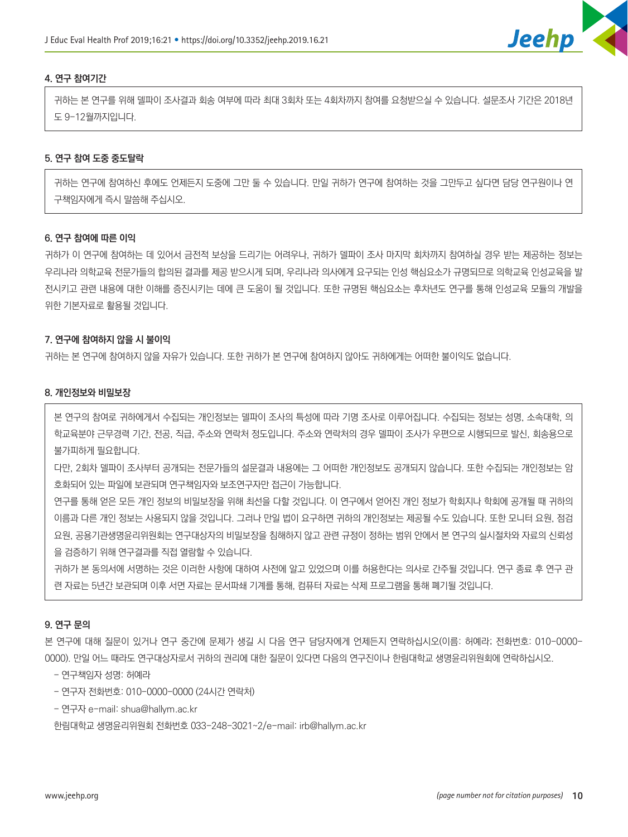

## **4. 연구 참여기간**

귀하는 본 연구를 위해 델파이 조사결과 회송 여부에 따라 최대 3회차 또는 4회차까지 참여를 요청받으실 수 있습니다. 설문조사 기간은 2018년 도 9-12월까지입니다.

## **5. 연구 참여 도중 중도탈락**

귀하는 연구에 참여하신 후에도 언제든지 도중에 그만 둘 수 있습니다. 만일 귀하가 연구에 참여하는 것을 그만두고 싶다면 담당 연구원이나 연 구책임자에게 즉시 말씀해 주십시오.

# **6. 연구 참여에 따른 이익**

귀하가 이 연구에 참여하는 데 있어서 금전적 보상을 드리기는 어려우나, 귀하가 델파이 조사 마지막 회차까지 참여하실 경우 받는 제공하는 정보는 우리나라 의학교육 전문가들의 합의된 결과를 제공 받으시게 되며, 우리나라 의사에게 요구되는 인성 핵심요소가 규명되므로 의학교육 인성교육을 발 전시키고 관련 내용에 대한 이해를 증진시키는 데에 큰 도움이 될 것입니다. 또한 규명된 핵심요소는 후차년도 연구를 통해 인성교육 모듈의 개발을 위한 기본자료로 활용될 것입니다.

## **7. 연구에 참여하지 않을 시 불이익**

귀하는 본 연구에 참여하지 않을 자유가 있습니다. 또한 귀하가 본 연구에 참여하지 않아도 귀하에게는 어떠한 불이익도 없습니다.

#### **8. 개인정보와 비밀보장**

본 연구의 참여로 귀하에게서 수집되는 개인정보는 델파이 조사의 특성에 따라 기명 조사로 이루어집니다. 수집되는 정보는 성명, 소속대학, 의 학교육분야 근무경력 기간, 전공, 직급, 주소와 연락처 정도입니다. 주소와 연락처의 경우 델파이 조사가 우편으로 시행되므로 발신, 회송용으로 불가피하게 필요합니다.

다만, 2회차 델파이 조사부터 공개되는 전문가들의 설문결과 내용에는 그 어떠한 개인정보도 공개되지 않습니다. 또한 수집되는 개인정보는 암 호화되어 있는 파일에 보관되며 연구책임자와 보조연구자만 접근이 가능합니다.

연구를 통해 얻은 모든 개인 정보의 비밀보장을 위해 최선을 다할 것입니다. 이 연구에서 얻어진 개인 정보가 학회지나 학회에 공개될 때 귀하의 이름과 다른 개인 정보는 사용되지 않을 것입니다. 그러나 만일 법이 요구하면 귀하의 개인정보는 제공될 수도 있습니다. 또한 모니터 요원, 점검 요원, 공용기관생명윤리위원회는 연구대상자의 비밀보장을 침해하지 않고 관련 규정이 정하는 범위 안에서 본 연구의 실시절차와 자료의 신뢰성 을 검증하기 위해 연구결과를 직접 열람할 수 있습니다.

귀하가 본 동의서에 서명하는 것은 이러한 사항에 대하여 사전에 알고 있었으며 이를 허용한다는 의사로 간주될 것입니다. 연구 종료 후 연구 관 련 자료는 5년간 보관되며 이후 서면 자료는 문서파쇄 기계를 통해, 컴퓨터 자료는 삭제 프로그램을 통해 폐기될 것입니다.

#### **9. 연구 문의**

본 연구에 대해 질문이 있거나 연구 중간에 문제가 생길 시 다음 연구 담당자에게 언제든지 연락하십시오(이름: 허예라; 전화번호: 010-0000- 0000). 만일 어느 때라도 연구대상자로서 귀하의 권리에 대한 질문이 있다면 다음의 연구진이나 한림대학교 생명윤리위원회에 연락하십시오.

- 연구책임자 성명: 허예라
- 연구자 전화번호: 010-0000-0000 (24시간 연락처)
- 연구자 e-mail: shua@hallym.ac.kr

한림대학교 생명윤리위원회 전화번호 033-248-3021~2/e-mail: irb@hallym.ac.kr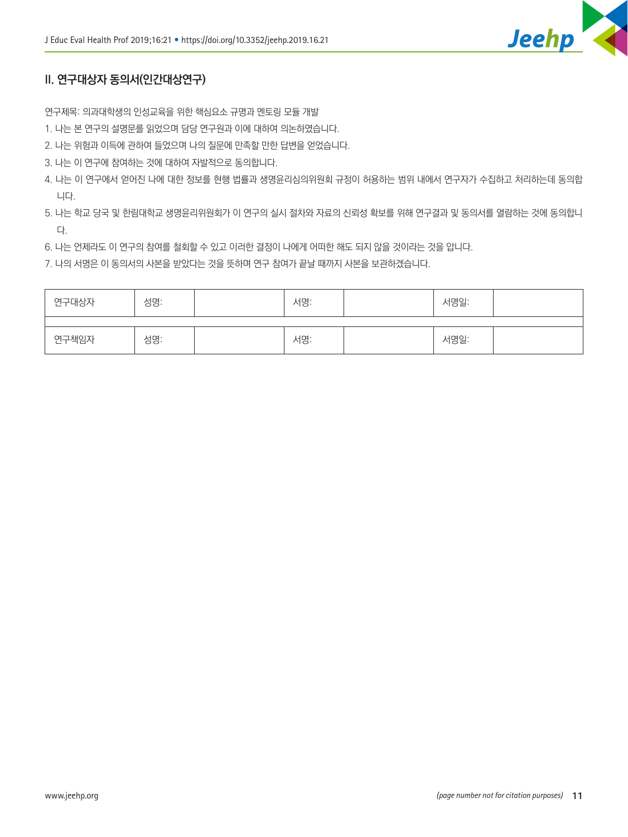

# **II. 연구대상자 동의서(인간대상연구)**

연구제목: 의과대학생의 인성교육을 위한 핵심요소 규명과 멘토링 모듈 개발

- 1. 나는 본 연구의 설명문를 읽었으며 담당 연구원과 이에 대하여 의논하였습니다.
- 2. 나는 위험과 이득에 관하여 들었으며 나의 질문에 만족할 만한 답변을 얻었습니다.
- 3. 나는 이 연구에 참여하는 것에 대하여 자발적으로 동의합니다.
- 4. 나는 이 연구에서 얻어진 나에 대한 정보를 현행 법률과 생명윤리심의위원회 규정이 허용하는 범위 내에서 연구자가 수집하고 처리하는데 동의합 니다.
- 5. 나는 학교 당국 및 한림대학교 생명윤리위원회가 이 연구의 실시 절차와 자료의 신뢰성 확보를 위해 연구결과 및 동의서를 열람하는 것에 동의합니 다.
- 6. 나는 언제라도 이 연구의 참여를 철회할 수 있고 이러한 결정이 나에게 어떠한 해도 되지 않을 것이라는 것을 압니다.
- 7. 나의 서명은 이 동의서의 사본을 받았다는 것을 뜻하며 연구 참여가 끝날 때까지 사본을 보관하겠습니다.

| 연구대상자 | 성명: | 서명: | 서명일: |  |
|-------|-----|-----|------|--|
|       |     |     |      |  |
| 연구책임자 | 성명: | 서명: | 서명일: |  |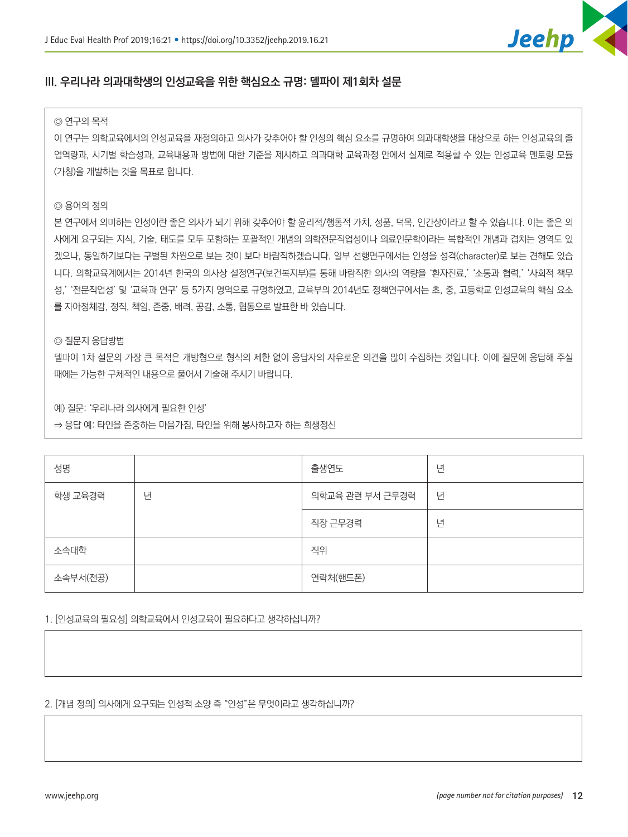

# **III. 우리나라 의과대학생의 인성교육을 위한 핵심요소 규명: 델파이 제1회차 설문**

#### ◎ 연구의 목적

이 연구는 의학교육에서의 인성교육을 재정의하고 의사가 갖추어야 할 인성의 핵심 요소를 규명하여 의과대학생을 대상으로 하는 인성교육의 졸 업역량과, 시기별 학습성과, 교육내용과 방법에 대한 기준을 제시하고 의과대학 교육과정 안에서 실제로 적용할 수 있는 인성교육 멘토링 모듈 (가칭)을 개발하는 것을 목표로 합니다.

# ◎ 용어의 정의

본 연구에서 의미하는 인성이란 좋은 의사가 되기 위해 갖추어야 할 윤리적/행동적 가치, 성품, 덕목, 인간상이라고 할 수 있습니다. 이는 좋은 의 사에게 요구되는 지식, 기술, 태도를 모두 포함하는 포괄적인 개념의 의학전문직업성이나 의료인문학이라는 복합적인 개념과 겹치는 영역도 있 겠으나, 동일하기보다는 구별된 차원으로 보는 것이 보다 바람직하겠습니다. 일부 선행연구에서는 인성을 성격(character)로 보는 견해도 있습 니다. 의학교육계에서는 2014년 한국의 의사상 설정연구(보건복지부)를 통해 바람직한 의사의 역량을 '환자진료,' '소통과 협력,' '사회적 책무 성,' '전문직업성' 및 '교육과 연구' 등 5가지 영역으로 규명하였고, 교육부의 2014년도 정책연구에서는 초, 중, 고등학교 인성교육의 핵심 요소 를 자아정체감, 정직, 책임, 존중, 배려, 공감, 소통, 협동으로 발표한 바 있습니다.

# ◎ 질문지 응답방법

델파이 1차 설문의 가장 큰 목적은 개방형으로 형식의 제한 없이 응답자의 자유로운 의견을 많이 수집하는 것입니다. 이에 질문에 응답해 주실 때에는 가능한 구체적인 내용으로 풀어서 기술해 주시기 바랍니다.

예) 질문: '우리나라 의사에게 필요한 인성'

⇒ 응답 예: 타인을 존중하는 마음가짐, 타인을 위해 봉사하고자 하는 희생정신

| 성명       |   | 출생연도            | 년 |
|----------|---|-----------------|---|
| 학생 교육경력  | 년 | 의학교육 관련 부서 근무경력 | 년 |
|          |   | 직장 근무경력         | 년 |
| 소속대학     |   | 직위              |   |
| 소속부서(전공) |   | 연락처(핸드폰)        |   |

1. [인성교육의 필요성] 의학교육에서 인성교육이 필요하다고 생각하십니까?

2. [개념 정의] 의사에게 요구되는 인성적 소양 즉 "인성"은 무엇이라고 생각하십니까?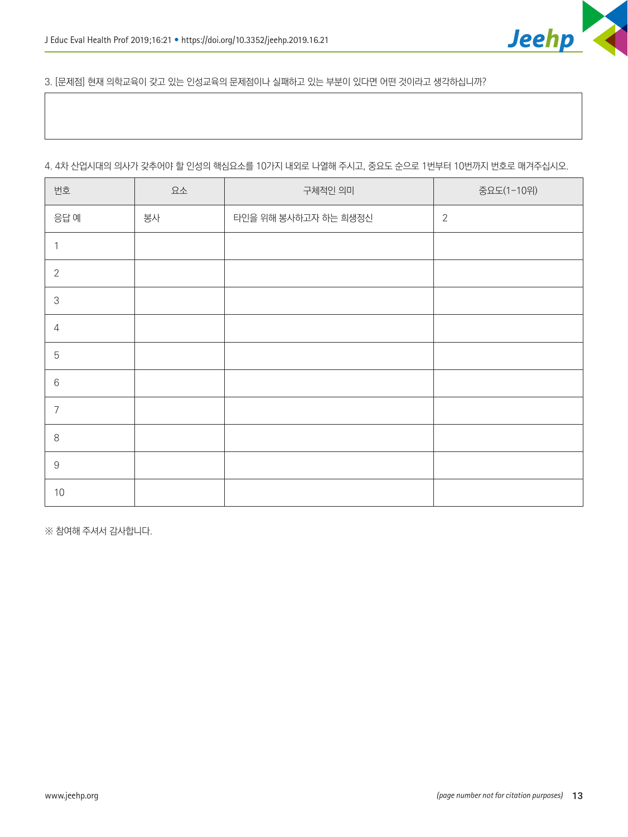

3. [문제점] 현재 의학교육이 갖고 있는 인성교육의 문제점이나 실패하고 있는 부분이 있다면 어떤 것이라고 생각하십니까?

# 4. 4차 산업시대의 의사가 갖추어야 할 인성의 핵심요소를 10가지 내외로 나열해 주시고, 중요도 순으로 1번부터 10번까지 번호로 매겨주십시오.

| 번호                                                        | 요소 | 구체적인 의미              | 중요도(1-10위)     |
|-----------------------------------------------------------|----|----------------------|----------------|
| 응답 예                                                      | 봉사 | 타인을 위해 봉사하고자 하는 희생정신 | $\overline{2}$ |
| $\mathbf 1$                                               |    |                      |                |
| $\overline{2}$                                            |    |                      |                |
| $\mathsf 3$                                               |    |                      |                |
| $\overline{4}$                                            |    |                      |                |
| $\overline{5}$                                            |    |                      |                |
| $6\,$                                                     |    |                      |                |
| $\overline{7}$                                            |    |                      |                |
| $8\,$                                                     |    |                      |                |
| $\mathcal{G}% _{M_{1},M_{2}}^{\alpha,\beta}(\mathcal{A})$ |    |                      |                |
| 10                                                        |    |                      |                |

※ 참여해 주셔서 감사합니다.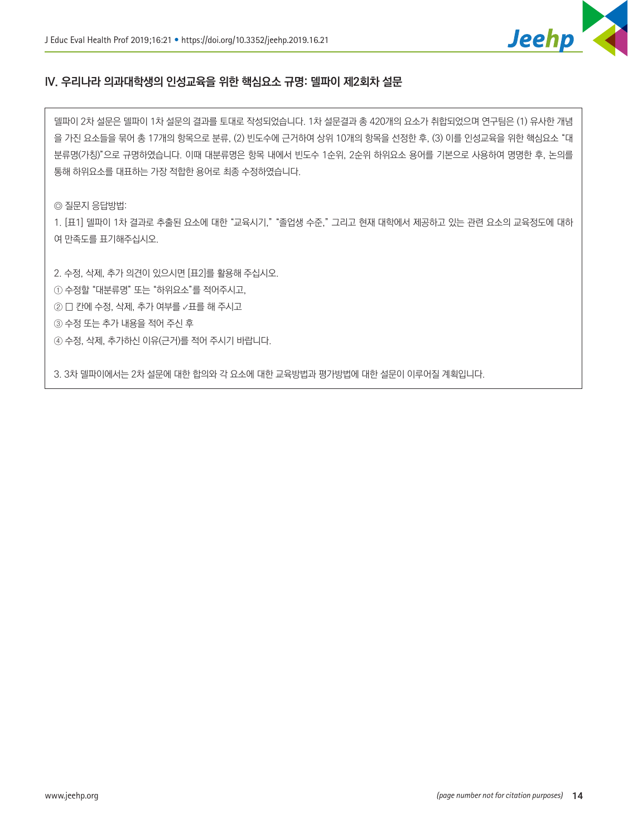

# **IV. 우리나라 의과대학생의 인성교육을 위한 핵심요소 규명: 델파이 제2회차 설문**

델파이 2차 설문은 델파이 1차 설문의 결과를 토대로 작성되었습니다. 1차 설문결과 총 420개의 요소가 취합되었으며 연구팀은 (1) 유사한 개념 을 가진 요소들을 묶어 총 17개의 항목으로 분류, (2) 빈도수에 근거하여 상위 10개의 항목을 선정한 후, (3) 이를 인성교육을 위한 핵심요소 "대 분류명(가칭)"으로 규명하였습니다. 이때 대분류명은 항목 내에서 빈도수 1순위, 2순위 하위요소 용어를 기본으로 사용하여 명명한 후, 논의를 통해 하위요소를 대표하는 가장 적합한 용어로 최종 수정하였습니다.

◎ 질문지 응답방법:

1. [표1] 델파이 1차 결과로 추출된 요소에 대한 "교육시기," "졸업생 수준," 그리고 현재 대학에서 제공하고 있는 관련 요소의 교육정도에 대하 여 만족도를 표기해주십시오.

2. 수정, 삭제, 추가 의견이 있으시면 [표2]를 활용해 주십시오.

① 수정할 "대분류명" 또는 "하위요소"를 적어주시고,

② ☐ 칸에 수정, 삭제, 추가 여부를 **✓**표를 해 주시고

③ 수정 또는 추가 내용을 적어 주신 후

④ 수정, 삭제, 추가하신 이유(근거)를 적어 주시기 바랍니다.

3. 3차 델파이에서는 2차 설문에 대한 합의와 각 요소에 대한 교육방법과 평가방법에 대한 설문이 이루어질 계획입니다.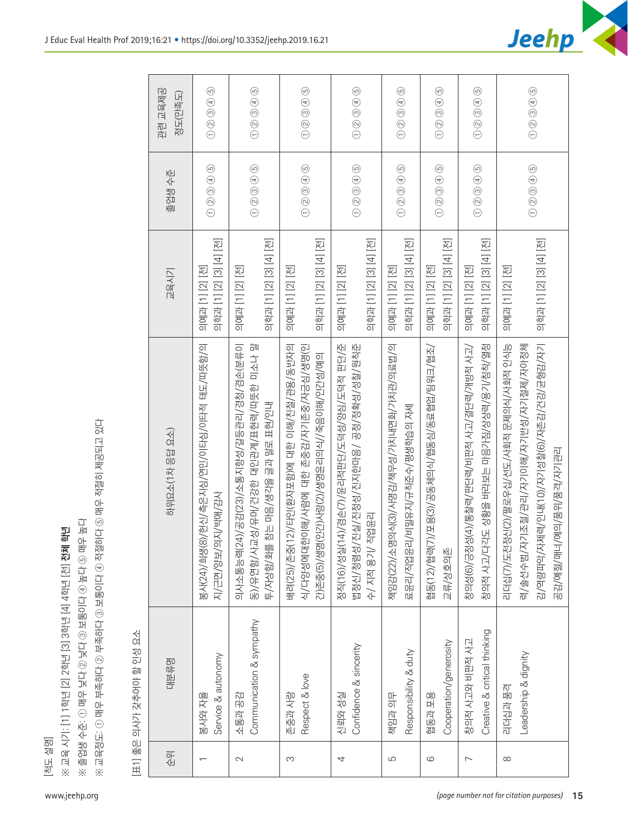

| C<br>í     |
|------------|
| 而          |
|            |
| ۱K<br>Ē    |
|            |
| ਨ          |
| 이.<br>KIIO |
|            |
|            |

| www.jeehp.org                           | [척도 설명]                  | ※ 졸업생 수준: ① 매우 낮다 ② 보통이다 ④ 높다 ③ 매우 높다<br>※ 교육 시기: [1] 1학년 [2] 2학년 [3] 3학년 [4] 4학년 [전] <b>전체</b> | ※ 교육정도: ① 매우 부족하다 ② 부족하다 ③ 보통이다 ④ 적절하다 ⑤ 매우 적절히 제공되고 있다<br>速                                                                                                |                                            |                                                                                                                       |                                                                                                      |  |
|-----------------------------------------|--------------------------|-------------------------------------------------------------------------------------------------|-------------------------------------------------------------------------------------------------------------------------------------------------------------|--------------------------------------------|-----------------------------------------------------------------------------------------------------------------------|------------------------------------------------------------------------------------------------------|--|
|                                         |                          | [표1] 좋은 의사가 갖추어야 할 인성 요소                                                                        |                                                                                                                                                             |                                            |                                                                                                                       |                                                                                                      |  |
|                                         | 순위                       | 四十三                                                                                             | 하위요소(1차 응답 요소)                                                                                                                                              | 교육시기                                       | 졸업생 수준                                                                                                                | 관련 교육제공<br>정도(만족도)                                                                                   |  |
|                                         | $\overline{\phantom{0}}$ | Service & autonomy<br>물사와 자울                                                                    | 봉사(24)/희생(8)/헌신/측은지심/연민/이타심/이타적 태도/따뜻함/의<br>지/근면/양보/의지/박애/감사                                                                                                | 의학과 [1] [2] [3] [4] [전]<br>의예과 [1] [2] [전] | $\textcircled{\small{200}}\\$                                                                                         | $\textcircled{\small{200}}\\$                                                                        |  |
|                                         | $\sim$                   | Communication & sympathy<br>소통과 공감                                                              | 의사소통능력(24)/공감(23)/소통지향성/갈등관리/경청/겸손(분류이<br>동)/유연함/사교성/유머/건강한 대인관계/표현력/따뜻한 미소나 말<br>참는 마음/생각을 글과 말로 표현/인내<br>투/자상함/화를                                         | 의학과 [1] [2] [3] [4] [전]<br>의예과 [1] [2] [전] | $\textcircled{\small{1}}\textcircled{\small{2}}\textcircled{\small{3}}\textcircled{\small{4}}\textcircled{\small{5}}$ | $\textcircled{\small{1}}\ \textcircled{\small{2}}\ \textcircled{\small{3}}\ \textcircled{\small{4}}$ |  |
|                                         | S                        | Respect & love<br>존중과 사랑                                                                        | 12)/타인(환자포함)에 대한 이해/친절/관용/동반자의<br>식/다양성에대한이해/사람에 대한 존중감/자기존중/자긍심/생명(인<br>간)존중(5)/생명(인간사랑(2)/생명윤리의식//죽음이해/인간성/예의<br>배려(25)/존중(                               | 의학과 [1] [2] [3] [4] [전]<br>의예과 [1] [2] [전] | $\textcircled{\small{200}}\\$                                                                                         | $\textcircled{\small{200}}\\$                                                                        |  |
|                                         | 4                        | Confidence & sincerity<br>신뢰와 성실                                                                | 4)/겸손(7)/윤리적판단/도덕성/양심/도덕적 판단/준<br>진실/진정성/진지한마음/ 공정/정확성/성찰/원칙준<br>수/ 지적 용기/ 직업윤리<br>정직(16)/성실(1<br>법정신/청렴성/                                                  | 의학과 [1] [2] [3] [4] [전]<br>의예과 [1] [2] [전] | $\circledcirc$ $\circledcirc$ $\circledcirc$                                                                          | $\textcircled{\small{1}}\ \textcircled{\small{2}}\ \textcircled{\small{3}}\ \textcircled{\small{4}}$ |  |
|                                         | 5                        | Responsibility & duty<br>책임과 의무                                                                 | 책임감(22)/소명의식(3)/사명감/책무성/가치내면화/가치관/의료법/의<br>료윤리/직업윤리/비밀유지/규칙준수/평생학습의 자세                                                                                      | 의학과 [1] [2] [3] [4] [전]<br>의예과 [1] [2] [전] | $\circledcirc \circledcirc \circledcirc$                                                                              | $\textcircled{\tiny{2}} \textcircled{\tiny{3}} \textcircled{\tiny{4}}$                               |  |
|                                         | $\circ$                  | Cooperation/generosity<br>용도 선을                                                                 | 협동(12)/협력(7)/포용(3)/공동체의식/협동심/동료협업/팀워크/협조/<br>교류/상호의존                                                                                                        | 의학과 [1] [2] [3] [4] [전]<br>의예과 [1] [2] [전] | $\textcircled{\small{1}}\textcircled{\small{2}}\textcircled{\small{3}}\textcircled{\small{4}}\textcircled{\small{5}}$ | $\textcircled{\small{200}}\\$                                                                        |  |
|                                         | $\overline{ }$           | Creative & critical thinking<br>창의적 사고와 비판적 사고                                                  | 창의적 사고/다각도 상황을 바라보는 마음가짐/상상력/용기/침착/열정<br>창의성(6)/긍정성(4)/통찰력/판단력/비판적 사고/결단력/개방적 사고/                                                                           | 의학과 [1] [2] [3] [4] [전]<br>의예과 [1] [2] [전] | $\textcircled{\small{200}} \\ \textcircled{\small{30}} \\ \textcircled{\small{4}} \\ \textcircled{\small{5}}$         | $\textcircled{\small{200}}\\$                                                                        |  |
| (page number not for citation purposes) | $\infty$                 | Leadership & dignity<br>리더십과 품격                                                                 | 감/역량파악/자제력/인내(10)/자기성찰(6)/자존감/건강/균형감/자기<br>리더십(7)/도전정신(2)/팔로우십/선도/사회적 문제의식/사회적 인식능<br>기조절/관리/자기이해/자기반성/자기절제/자아정체<br>/예의/품위/품격/자기관리<br>공감/예절/매너/<br>력/솔선수범/지 | 의학과 [1] [2] [3] [4] [전]<br>의예과 [1] [2] [전] | $\textcircled{\small{1}}\textcircled{\small{2}}\textcircled{\small{3}}\textcircled{\small{4}}$                        | $\textcircled{\small{200}}\\$                                                                        |  |
| 15                                      |                          |                                                                                                 |                                                                                                                                                             |                                            |                                                                                                                       |                                                                                                      |  |

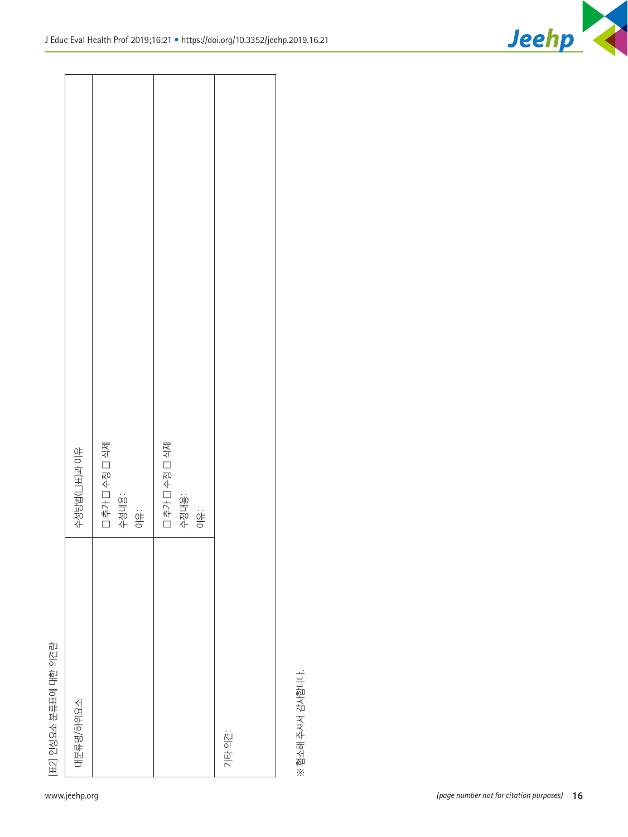|                       | www.jeehp.org |                                                     |                                                  |        |                  | (page number not for citation purposes) | 16 |
|-----------------------|---------------|-----------------------------------------------------|--------------------------------------------------|--------|------------------|-----------------------------------------|----|
| [표2] 인성요소 분류표에 대한 의견란 | 대분류명/하위요소     |                                                     |                                                  | 기타 의견: | ※ 협조해 주셔서 감사합니다. |                                         |    |
|                       | 수정방법(그표)과 이유  | □ 추가 □ 수정 □ 삭제<br>수정내용:<br>$\frac{1}{\sin 2\theta}$ | □ 추가 □ 수정 □ 삭제<br>수정내용:<br>$\frac{\dot{Q}^2}{Q}$ |        |                  |                                         |    |

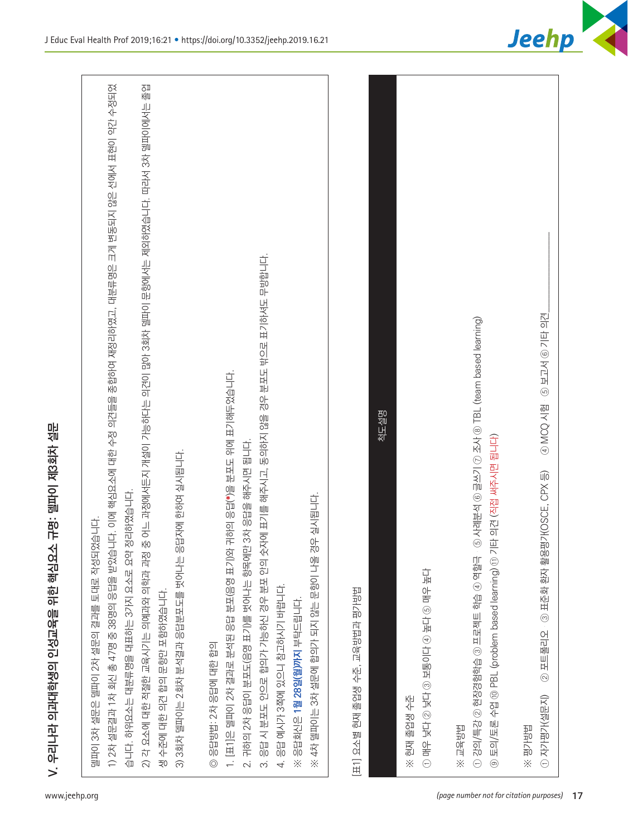

| 작성되었습니다.<br>토대로<br>델파이 3차 설문은 델파이 2차 설문의 결과를                                                           |  |
|--------------------------------------------------------------------------------------------------------|--|
| 1) 2차 설문결과 1차 회신 총 47명 중 38명의 응답을 받았습니다. 이에 핵한 수정 의견들을 종합하여 재정리하였고, 대분류명은 크게 변동되지 않은 선에서 표현이 약간 수정되었   |  |
| 정리하였습니다.<br>습니다. 하위요소는 대분류명을 대표하는 3가지 요소로 요약                                                           |  |
| 2) 각 요소에 대한 적절한 교육시기는 의예과와 의학과 과정 중 어느 과정에서든지 개설이 가능하다는 의견이 많아 3회차 빌파이 문항에서는 제외하였습니다. 따라서 3차 델파이에서는 졸업 |  |
| 생 수준에 대한 의견 합의 문항만 포함하였습니다.                                                                            |  |
| 답자에 한하여 실시됩니다.<br>3회차 델파이는 2회차 분석결과 응답분포도를 벗어나는 응<br>$\widehat{\infty}$                                |  |
| 응답방법: 2차 응답에 대한 합의<br>$\circledcirc$                                                                   |  |
| 귀하의 응답(*)을 분포도 위에 표기해두었습니다.<br>1. [표1]은 델파이 2차 결과로 분석된 응답 분포(음영 표기)와                                   |  |
| 2. 귀하의 2차 응답이 분포도(음영 표기)를 벗어나는 항목에만 3차 응답을 해주시면 됩니다                                                    |  |
| 응답 시 분포도 안으로 합의가 가능하신 경우 분포 안의 숫자에 표기를 해주시고, 동의하지 않을 경우 분포도 밖으로 표기하셔도 무방합니다.<br>$\sim$                 |  |
| 응답 예시가 3쪽에 있으니 참고하시기 바랍니다.<br>4.                                                                       |  |
| 응답회신은 1 <b>월 28일(월)까지</b> 부탁드립니다<br>$\times$                                                           |  |
| 우 실시됩니다.<br>$\overline{0}$<br>4차 텔파이는 3차 설문에 합의가 되지 않는 문항이 나올<br>$\times$                              |  |
| 교육방법과 평가방법<br>졸업생 수준,<br>雨<br><b>E11 요소별</b>                                                           |  |
| 척도설명                                                                                                   |  |
| 현재 졸업생 수준<br>$\ddot{\times}$                                                                           |  |
| $\Theta$                                                                                               |  |
| 동유동판 ※                                                                                                 |  |
| $5$ 사례분석 ⓒ 글쓰기 ⑦ 조사 ⑧ TBL (team based learning)<br>① 강의/특강 ② 현장경험학습 ③ 프로젝트 학습 ④ 역할극                    |  |
| 타 의견 (직접 써주시면 됩니다)<br>토의/토론 수업 ⑩ PBL (problem based learning) ⑪ 기<br>$\circledcirc$                    |  |
| 보러/학 ※                                                                                                 |  |
| 9 MCQ 시험 · 5 보고서 ⓒ 기타 의견<br>3 표준화 환자 활용평가(OSCE, CPX 등)<br>포트폴리오<br>$\odot$<br>① 자기명가(설문지)              |  |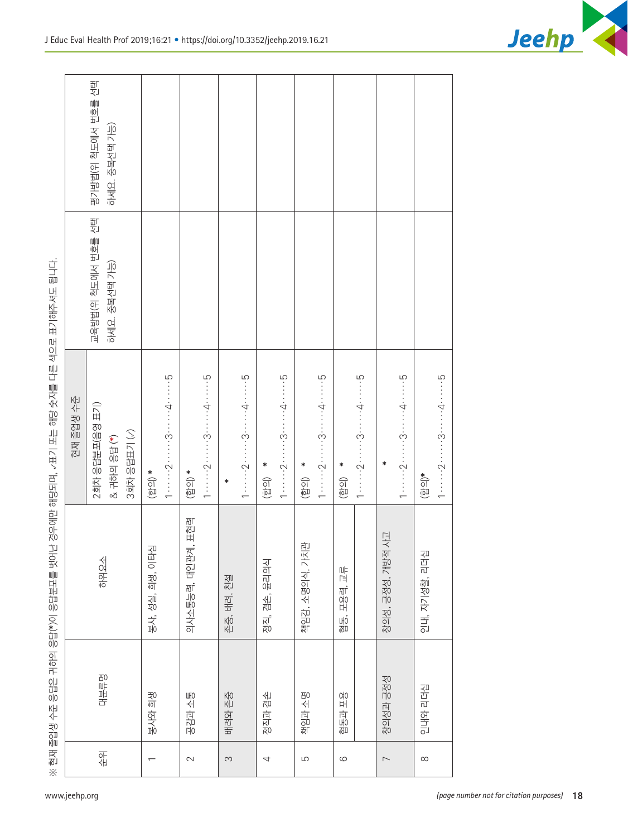|                                         | $\times$                 | 현재 졸업생 수준 응답은 귀하의 응답(*)이 응답문포를 벗어 |                    | 난 경우에만 해당되며, ‹표기 또는 해당 숫자를 다른 색으로 표기해주셔도 됩니다.                                            |                                     |                                     |
|-----------------------------------------|--------------------------|-----------------------------------|--------------------|------------------------------------------------------------------------------------------|-------------------------------------|-------------------------------------|
| www.jeehp.org                           |                          |                                   |                    | 현재 졸업생 수준                                                                                |                                     |                                     |
|                                         | 옦                        | 대분류평                              | 하위요소               | 2회차 응답분포(음영 표기)<br>& 귀하의 응답 (*)                                                          | 교육방법(위 척도에서 번호를 선택<br>하세요. 중복선택 가능) | 평가방법(위 척도에서 번호를 선택<br>하세요. 중복선택 가능) |
|                                         |                          |                                   |                    | 3회차 응답표기 (~)                                                                             |                                     |                                     |
|                                         | $\overline{\phantom{0}}$ | 방이 회생                             | 희생, 이타심<br>봉사, 성실, | $\left(\frac{1}{2}$                                                                      |                                     |                                     |
|                                         |                          |                                   |                    | $1 \cdots 2 \cdots 3 \cdots 4 \cdots 5$                                                  |                                     |                                     |
|                                         | $\sim$                   | 공감과 소통                            | 의사소통능력, 대인관계, 표현력  | $\left(\frac{1}{2}$                                                                      |                                     |                                     |
|                                         |                          |                                   |                    | $1 \cdots 2 \cdots 3 \cdots 4 \cdots 5$                                                  |                                     |                                     |
|                                         | $\infty$                 | 배려와 존중                            | 존중, 배려, 친절         | ∗                                                                                        |                                     |                                     |
|                                         |                          |                                   |                    | $1 \cdots 2 \cdots 3 \cdots 4 \cdots 5$                                                  |                                     |                                     |
|                                         | 4                        | 정직과 겸손                            | 윤리의식<br>정직, 겸손,    | ∗<br>$\begin{array}{c} \text{(B)}\\ \text{(B)} \end{array}$                              |                                     |                                     |
|                                         |                          |                                   |                    | $1 \cdots 2 \cdots 3 \cdots 4 \cdots 4 \cdots 5$                                         |                                     |                                     |
|                                         | $\overline{5}$           | 책임과 소명                            | 책임감, 소명의식, 가치관     | ∗<br>(합의)                                                                                |                                     |                                     |
|                                         |                          |                                   |                    | $1 \cdots 2 \cdots \cdots 3 \cdots \cdots 4 \cdots 5$                                    |                                     |                                     |
|                                         | $\circlearrowright$      | 융도 선물                             | 唱<br>협동, 포용력,      | $\ast$<br>$\begin{pmatrix} \boxed{\square} & \square \\ \square & \square \end{pmatrix}$ |                                     |                                     |
|                                         |                          |                                   |                    | $1 \cdots 2 \cdots 3 \cdots 4 \cdots 4 \cdots 5$                                         |                                     |                                     |
|                                         | $\overline{\phantom{m}}$ | 창의성과 긍정성                          | 창의성, 긍정성, 개방적 사고   | $\ast$                                                                                   |                                     |                                     |
|                                         |                          |                                   |                    | $1 \cdots 2 \cdots \cdots 3 \cdots \cdots 4 \cdots 5$                                    |                                     |                                     |
|                                         | $\infty$                 | 인내와 리더십                           | 리더십<br>인내, 자기성찰,   | $\left(\frac{1}{2}$                                                                      |                                     |                                     |
|                                         |                          |                                   |                    | $1 \cdots 2 \cdots 3 \cdots 4 \cdots 4 \cdots 5$                                         |                                     |                                     |
| (page number not for citation purposes) |                          |                                   |                    |                                                                                          |                                     |                                     |
|                                         |                          |                                   |                    |                                                                                          |                                     |                                     |
|                                         |                          |                                   |                    |                                                                                          |                                     |                                     |
|                                         |                          |                                   |                    |                                                                                          |                                     |                                     |
|                                         |                          |                                   |                    |                                                                                          |                                     |                                     |
| 18                                      |                          |                                   |                    |                                                                                          |                                     |                                     |

 $\Gamma$ 

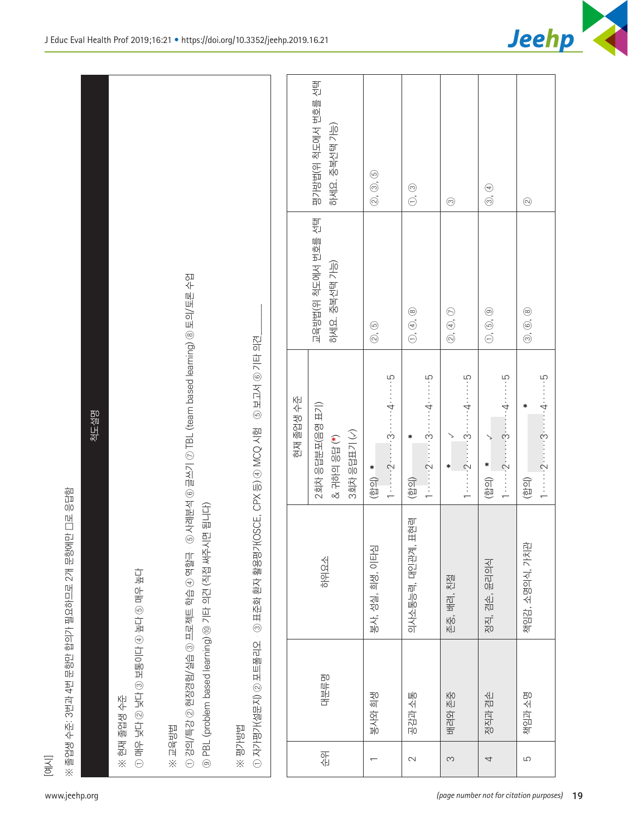|  | www.jeehp.o |  |  |
|--|-------------|--|--|
|  |             |  |  |

| 古事 Shu ④古事 ④ 互lo ��� ⑤<br>○里半 3114 全部<br>※ 현재 졸업생 수준                                                   |
|--------------------------------------------------------------------------------------------------------|
| 경험/실습 ③ 프로젝트 학습 ④ 역할극 · ⑤ 사례분석 ⑥ 글쓰기 ⑦ TBL (team based learning) ⑧ 토의/토론 수업<br>① 강의/특강 ② 현장:<br>※ 교육방법 |
| ⑨ PBL (problem based learning) ⑩ 기타 의견 (직접 써주시면 됩니다)                                                   |
| ※평가방법                                                                                                  |
| 2) 포트폴리오 · ③ 표준화 환자 활용평가(OSCE, CPX 등) ④ MCQ 시험 · ⑤ 보고서 ⑥ 기타 의견<br>① 자기명가(설문지)                          |

| 평가방법(위 척도에서 번호를 선택<br>하세요. 중복선택 가능)<br>(2, 0, 6)<br>$\odot$<br>$\circledS$ , $\circledA$<br>$\odot$<br>$\odot$<br>교육방법(위 척도에서 번호를 선택<br>하세요. 중복선택 가능)<br>⑤ 사례분석 ⑥ 글쓰기 ⑦ TBL (team based learning) ⑧ 토의/토론 수업<br>$\circledcirc$ , $\circledcirc$ , $\circledcirc$<br>$\circledcirc$ . $\circledcirc$ .<br>$\circledcirc$ . $\circledcirc$ .<br>$\circledcirc$ , $\circledcirc$ , $\circledcirc$<br>$Q, \Theta$<br>가(OSCE, CPX 등) ④ MCQ 시험 . ⑤ 보고서 ⑥ 기타 의견<br>$1 \cdots 2 \cdots 3 \cdots 4 \cdots 4 \cdots 5$<br>$1 \cdots 2 \cdots 3 \cdots 4 \cdots 5$<br>$-3$ 5<br>현재 졸업생 수준<br>2회차 응답분포(음영 표기)<br>∗<br>척도설명<br>3회차 응답표기 (<)<br>$\checkmark$<br>& 귀하의 응답(*)<br>∗<br>↘<br>$1 \cdots 2 \cdots$<br>*<br>$\ast$<br>$*$<br>$\begin{pmatrix} \overline{G_1} & \overline{G_2} \\ \overline{G_1} & \overline{G_2} \end{pmatrix}$<br>$\begin{pmatrix} \overline{\mathbb{Q}} & \overline{\mathbb{Q}} \\ \overline{\mathbb{Q}} & \overline{\mathbb{Q}} \end{pmatrix}$<br>(합의)<br>$(\overline{e}$ [ $\overline{e}$ ]<br>2개 문항에만 디로 응답함<br>⑨ PBL (problem based learning) ⑩ 기타 의견 (직접 써주시면 됩니다)<br>의사소통능력, 대인관계, 표현력<br>車<br>봉사, 성실, 희생, 이타심<br>3 표준화 환자 활용명<br>책임감, 소명의식, 가치<br>① 강의/특강 ② 현장경험/실습 ③ 프로젝트 학습 ④ 역할극<br>학위요소<br>정직, 겸손, 윤리의식<br>ロボや言 @ロボ @ロこん @ロボ @ロボ ↓ Na ④<br>之间<br>졸업생 수준: 3번과 4번 문항만 합의가 필요하므로<br>존중, 배려<br>$(1)$ 자가명가(설문지) $(2)$ 포트폴리오<br>대분류명<br>봉사와 희생<br>공감과 소통<br>배려와 존중<br>정직과 겸손<br>책임과 소명<br>현재 졸업생 수준<br>퇴육한 ※<br>计配置交换<br>앆<br>$\sim$<br>$\overline{5}$<br>S<br>4<br>$\overline{\phantom{0}}$<br>$\times$<br>$\times$ |
|----------------------------------------------------------------------------------------------------------------------------------------------------------------------------------------------------------------------------------------------------------------------------------------------------------------------------------------------------------------------------------------------------------------------------------------------------------------------------------------------------------------------------------------------------------------------------------------------------------------------------------------------------------------------------------------------------------------------------------------------------------------------------------------------------------------------------------------------------------------------------------------------------------------------------------------------------------------------------------------------------------------------------------------------------------------------------------------------------------------------------------------------------------------------------------------------------------------------------------------------------------------------------------------------------------------------------------------------------------------------------------------------------------------------------------------------------------------------------------------------------------------------------------------|
|----------------------------------------------------------------------------------------------------------------------------------------------------------------------------------------------------------------------------------------------------------------------------------------------------------------------------------------------------------------------------------------------------------------------------------------------------------------------------------------------------------------------------------------------------------------------------------------------------------------------------------------------------------------------------------------------------------------------------------------------------------------------------------------------------------------------------------------------------------------------------------------------------------------------------------------------------------------------------------------------------------------------------------------------------------------------------------------------------------------------------------------------------------------------------------------------------------------------------------------------------------------------------------------------------------------------------------------------------------------------------------------------------------------------------------------------------------------------------------------------------------------------------------------|